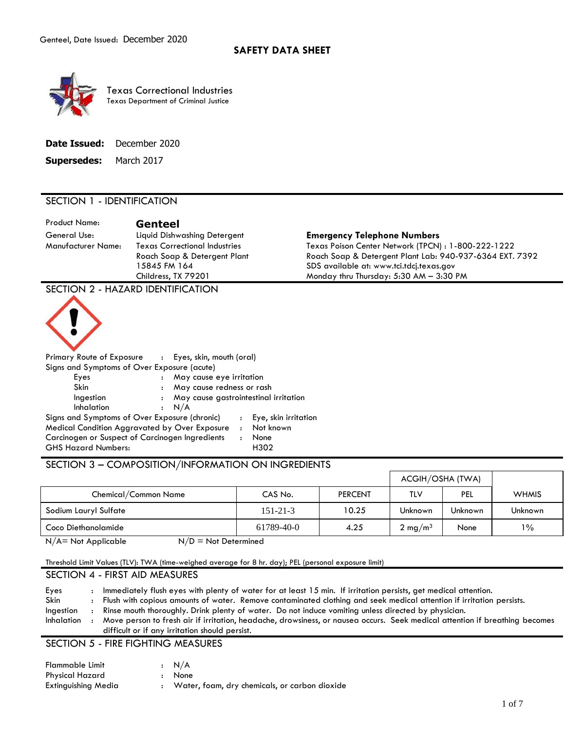

 Texas Department of Criminal Justice Texas Correctional Industries

| Date Issued: | December 2020 |
|--------------|---------------|
|--------------|---------------|

**Supersedes:** March 2017

# SECTION 1 - IDENTIFICATION

Product Name: **Genteel**  General Use: Liquid Dishwashing Detergent **Emergency Telephone Numbers** 

Manufacturer Name: Texas Correctional Industries Texas Poison Center Network (TPCN) : 1-800-222-1222 Roach Soap & Detergent Plant Roach Soap & Detergent Plant Lab: 940-937-6364 EXT. 7392 15845 FM 164 SDS available at: www.tci.tdcj.texas.gov Childress, TX 79201 Monday thru Thursday: 5:30 AM – 3:30 PM

SECTION 2 - HAZARD IDENTIFICATION



| Primary Route of Exposure : Eyes, skin, mouth (oral)                          |                      |                                         |                |                        |
|-------------------------------------------------------------------------------|----------------------|-----------------------------------------|----------------|------------------------|
| Signs and Symptoms of Over Exposure (acute)                                   |                      |                                         |                |                        |
| Eyes                                                                          | $\ddot{\phantom{a}}$ | May cause eye irritation                |                |                        |
| Skin                                                                          | $\cdot$ :            | May cause redness or rash               |                |                        |
| Ingestion                                                                     |                      | : May cause gastrointestinal irritation |                |                        |
| Inhalation                                                                    |                      | : N/A                                   |                |                        |
| Signs and Symptoms of Over Exposure (chronic)                                 |                      |                                         |                | : Eye, skin irritation |
| Medical Condition Aggravated by Over Exposure                                 |                      |                                         | $\cdot$        | Not known              |
| Carcinogen or Suspect of Carcinogen Ingredients<br><b>GHS Hazard Numbers:</b> |                      |                                         | $\ddot{\cdot}$ | None<br>H302           |

## SECTION 3 – COMPOSITION/INFORMATION ON INGREDIENTS

|                       | ACGIH/OSHA (TWA) |                |                    |                |                |
|-----------------------|------------------|----------------|--------------------|----------------|----------------|
| Chemical/Common Name  | CAS No.          | <b>PERCENT</b> | TLV                | PEL            | <b>WHMIS</b>   |
| Sodium Lauryl Sulfate | $151 - 21 - 3$   | 10.25          | Unknown            | <b>Unknown</b> | <b>Unknown</b> |
| Coco Diethanolamide   | 61789-40-0       | 4.25           | $2 \text{ mg/m}^3$ | None           | $1\%$          |

 $N/A$  = Not Applicable  $N/D$  = Not Determined

Threshold Limit Values (TLV): TWA (time-weighed average for 8 hr. day); PEL (personal exposure limit)

### SECTION 4 - FIRST AID MEASURES

Eyes : Immediately flush eyes with plenty of water for at least 15 min. If irritation persists, get medical attention. Skin : Flush with copious amounts of water. Remove contaminated clothing and seek medical attention if irritation persists. Ingestion : Rinse mouth thoroughly. Drink plenty of water. Do not induce vomiting unless directed by physician. Inhalation : Move person to fresh air if irritation, headache, drowsiness, or nausea occurs. Seek medical attention if breathing becomes difficult or if any irritation should persist.

SECTION 5 - FIRE FIGHTING MEASURES

| Flammable Limit     | $\cdot$ N/A                                   |
|---------------------|-----------------------------------------------|
| Physical Hazard     | : None                                        |
| Extinguishing Media | Water, foam, dry chemicals, or carbon dioxide |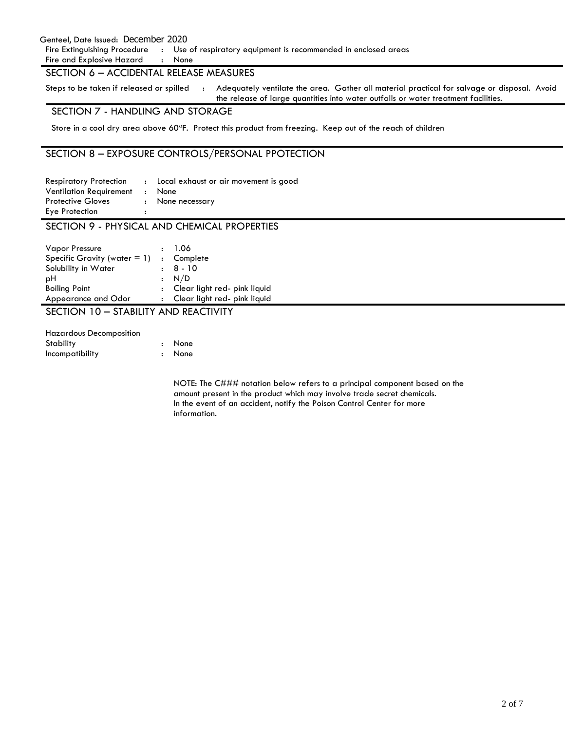#### Genteel, Date Issued: December 2020

Fire Extinguishing Procedure : Use of respiratory equipment is recommended in enclosed areas

Fire and Explosive Hazard : None

## SECTION 6 – ACCIDENTAL RELEASE MEASURES

Steps to be taken if released or spilled the Adequately ventilate the area. Gather all material practical for salvage or disposal. Avoid

the release of large quantities into water outfalls or water treatment facilities.

# SECTION 7 - HANDLING AND STORAGE

Store in a cool dry area above 60°F. Protect this product from freezing. Keep out of the reach of children

# SECTION 8 – EXPOSURE CONTROLS/PERSONAL PPOTECTION

| <b>Respiratory Protection</b>  | : Local exhaust or air movement is good |
|--------------------------------|-----------------------------------------|
| <b>Ventilation Requirement</b> | : None                                  |
| <b>Protective Gloves</b>       | : None necessary                        |
| Eye Protection                 |                                         |

## SECTION 9 - PHYSICAL AND CHEMICAL PROPERTIES

| <b>Vapor Pressure</b>           | : 1.06                         |
|---------------------------------|--------------------------------|
| Specific Gravity (water $= 1$ ) | : Complete                     |
| Solubility in Water             | $\pm 8 - 10$                   |
| рH                              | $\cdot$ N/D                    |
| <b>Boiling Point</b>            | : Clear light red- pink liquid |
| Appearance and Odor             | : Clear light red- pink liquid |

SECTION 10 – STABILITY AND REACTIVITY

| <b>Hazardous Decomposition</b> |        |
|--------------------------------|--------|
| <b>Stability</b>               | : None |
| Incompatibility                | : None |

 NOTE: The C### notation below refers to a principal component based on the amount present in the product which may involve trade secret chemicals. In the event of an accident, notify the Poison Control Center for more information.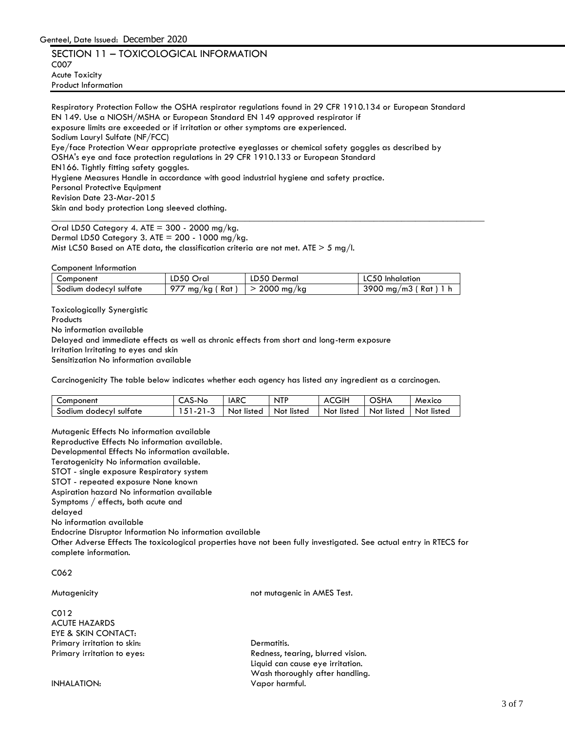SECTION 11 – TOXICOLOGICAL INFORMATION C007 Acute Toxicity Product Information

\_\_\_\_\_\_\_\_\_\_\_\_\_\_\_\_\_\_\_\_\_\_\_\_\_\_\_\_\_\_\_\_\_\_\_\_\_\_\_\_\_\_\_\_\_\_\_\_\_\_\_\_\_\_\_\_\_\_\_\_\_\_\_\_\_\_\_\_\_\_\_\_\_\_\_\_\_\_\_\_\_\_\_\_\_\_\_\_\_\_\_\_\_\_ Respiratory Protection Follow the OSHA respirator regulations found in 29 CFR 1910.134 or European Standard EN 149. Use a NIOSH/MSHA or European Standard EN 149 approved respirator if exposure limits are exceeded or if irritation or other symptoms are experienced. Sodium Lauryl Sulfate (NF/FCC) Eye/face Protection Wear appropriate protective eyeglasses or chemical safety goggles as described by OSHA's eye and face protection regulations in 29 CFR 1910.133 or European Standard EN166. Tightly fitting safety goggles. Hygiene Measures Handle in accordance with good industrial hygiene and safety practice. Personal Protective Equipment Revision Date 23-Mar-2015 Skin and body protection Long sleeved clothing.

Oral LD50 Category 4. ATE = 300 - 2000 mg/kg. Dermal LD50 Category 3. ATE =  $200 - 1000$  mg/kg. Mist LC50 Based on ATE data, the classification criteria are not met. ATE  $>$  5 mg/l.

Component Information

| Component              | LD50 Oral       | LD50 Dermal | <b>LC50</b> Inhalation |
|------------------------|-----------------|-------------|------------------------|
| Sodium dodecyl sulfate | 7 mg/kg ( Rat ) | 2000 mg/kg  | 3900 mg/m3 (Rat) 1 h   |

Toxicologically Synergistic

**Products** 

No information available

Delayed and immediate effects as well as chronic effects from short and long-term exposure

Irritation Irritating to eyes and skin

Sensitization No information available

Carcinogenicity The table below indicates whether each agency has listed any ingredient as a carcinogen.

| Component              | -AS-No | IARC       | NTP        | <b>ACGIH</b> | OSHA       | Mexico     |
|------------------------|--------|------------|------------|--------------|------------|------------|
| Sodium dodecyl sulfate |        | Not listed | Not listed | Not listed   | Not listed | Not listed |

Mutagenic Effects No information available

Reproductive Effects No information available.

Developmental Effects No information available.

Teratogenicity No information available.

STOT - single exposure Respiratory system

STOT - repeated exposure None known

Aspiration hazard No information available

Symptoms / effects, both acute and

delayed

No information available

Endocrine Disruptor Information No information available

Other Adverse Effects The toxicological properties have not been fully investigated. See actual entry in RTECS for complete information.

C062

Mutagenicity not mutagenic in AMES Test.

| CO12                        |                                   |
|-----------------------------|-----------------------------------|
| <b>ACUTE HAZARDS</b>        |                                   |
| EYE & SKIN CONTACT:         |                                   |
| Primary irritation to skin: | Dermatitis.                       |
| Primary irritation to eyes: | Redness, tearing, blurred vision. |
|                             | Liquid can cause eye irritation.  |
|                             | Wash thoroughly after handling.   |
| INHALATION:                 | Vapor harmful.                    |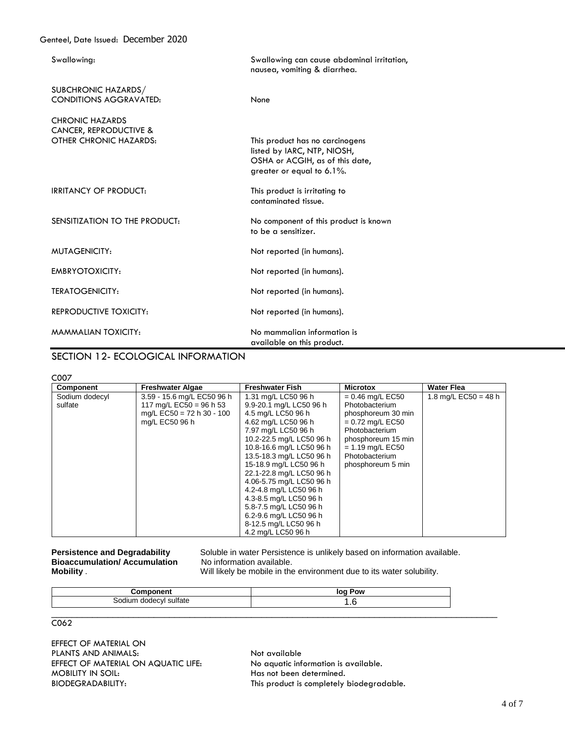| Swallowing:                                                                | Swallowing can cause abdominal irritation,<br>nausea, vomiting & diarrhea.                                                     |
|----------------------------------------------------------------------------|--------------------------------------------------------------------------------------------------------------------------------|
| SUBCHRONIC HAZARDS/<br><b>CONDITIONS AGGRAVATED:</b>                       | None                                                                                                                           |
| <b>CHRONIC HAZARDS</b><br>CANCER, REPRODUCTIVE &<br>OTHER CHRONIC HAZARDS: | This product has no carcinogens<br>listed by IARC, NTP, NIOSH,<br>OSHA or ACGIH, as of this date,<br>greater or equal to 6.1%. |
| <b>IRRITANCY OF PRODUCT:</b>                                               | This product is irritating to<br>contaminated tissue.                                                                          |
| SENSITIZATION TO THE PRODUCT:                                              | No component of this product is known<br>to be a sensitizer.                                                                   |
| MUTAGENICITY:                                                              | Not reported (in humans).                                                                                                      |
| EMBRYOTOXICITY:                                                            | Not reported (in humans).                                                                                                      |
| <b>TERATOGENICITY:</b>                                                     | Not reported (in humans).                                                                                                      |
| REPRODUCTIVE TOXICITY:                                                     | Not reported (in humans).                                                                                                      |
| MAMMALIAN TOXICITY:                                                        | No mammalian information is<br>available on this product.                                                                      |

## SECTION 12- ECOLOGICAL INFORMATION

C007

| <b>Component</b> | <b>Freshwater Algae</b>     | <b>Freshwater Fish</b>   | <b>Microtox</b>    | <b>Water Flea</b>      |
|------------------|-----------------------------|--------------------------|--------------------|------------------------|
| Sodium dodecyl   | 3.59 - 15.6 mg/L EC50 96 h  | 1.31 mg/L LC50 96 h      | $= 0.46$ mg/L EC50 | 1.8 mg/L $EC50 = 48$ h |
| sulfate          | 117 mg/L EC50 = 96 h 53     | 9.9-20.1 mg/L LC50 96 h  | Photobacterium     |                        |
|                  | mg/L $EC50 = 72$ h 30 - 100 | 4.5 mg/L LC50 96 h       | phosphoreum 30 min |                        |
|                  | mg/L EC50 96 h              | 4.62 mg/L LC50 96 h      | $= 0.72$ mg/L EC50 |                        |
|                  |                             | 7.97 mg/L LC50 96 h      | Photobacterium     |                        |
|                  |                             | 10.2-22.5 mg/L LC50 96 h | phosphoreum 15 min |                        |
|                  |                             | 10.8-16.6 mg/L LC50 96 h | $= 1.19$ mg/L EC50 |                        |
|                  |                             | 13.5-18.3 mg/L LC50 96 h | Photobacterium     |                        |
|                  |                             | 15-18.9 mg/L LC50 96 h   | phosphoreum 5 min  |                        |
|                  |                             | 22.1-22.8 mg/L LC50 96 h |                    |                        |
|                  |                             | 4.06-5.75 mg/L LC50 96 h |                    |                        |
|                  |                             | 4.2-4.8 mg/L LC50 96 h   |                    |                        |
|                  |                             | 4.3-8.5 mg/L LC50 96 h   |                    |                        |
|                  |                             | 5.8-7.5 mg/L LC50 96 h   |                    |                        |
|                  |                             | 6.2-9.6 mg/L LC50 96 h   |                    |                        |
|                  |                             | 8-12.5 mg/L LC50 96 h    |                    |                        |
|                  |                             | 4.2 mg/L LC50 96 h       |                    |                        |

**Persistence and Degradability Bioaccumulation/ Accumulation Mobility.**  Soluble in water Persistence is unlikely based on information available.<br>No information available.

Will likely be mobile in the environment due to its water solubility.

|            | nv |  |  |  |
|------------|----|--|--|--|
| $-$<br>. . |    |  |  |  |
|            |    |  |  |  |

C062

EFFECT OF MATERIAL ON PLANTS AND ANIMALS: Not available EFFECT OF MATERIAL ON AQUATIC LIFE: No aquatic information is available. MOBILITY IN SOIL: Note and the MOBILITY IN SOIL:

BIODEGRADABILITY: This product is completely biodegradable.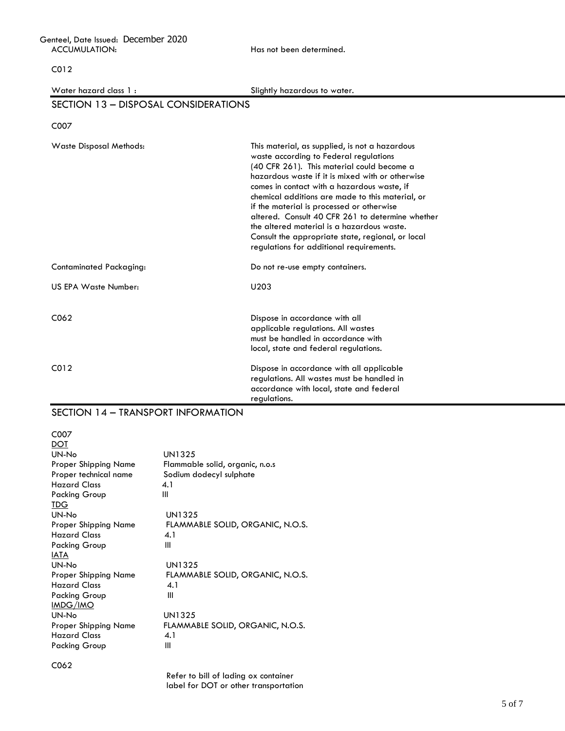| Genteel, Date Issued: December 2020 |  |
|-------------------------------------|--|
| ACCUMULATION:                       |  |

Has not been determined.

C012

Water hazard class 1 : Slightly hazardous to water.

## SECTION 13 – DISPOSAL CONSIDERATIONS

C007

| <b>Waste Disposal Methods:</b> | This material, as supplied, is not a hazardous<br>waste according to Federal regulations<br>(40 CFR 261). This material could become a<br>hazardous waste if it is mixed with or otherwise<br>comes in contact with a hazardous waste, if<br>chemical additions are made to this material, or<br>if the material is processed or otherwise<br>altered. Consult 40 CFR 261 to determine whether<br>the altered material is a hazardous waste.<br>Consult the appropriate state, regional, or local<br>regulations for additional requirements. |  |  |  |  |
|--------------------------------|-----------------------------------------------------------------------------------------------------------------------------------------------------------------------------------------------------------------------------------------------------------------------------------------------------------------------------------------------------------------------------------------------------------------------------------------------------------------------------------------------------------------------------------------------|--|--|--|--|
| Contaminated Packaging:        | Do not re-use empty containers.                                                                                                                                                                                                                                                                                                                                                                                                                                                                                                               |  |  |  |  |
| US EPA Waste Number:           | U203                                                                                                                                                                                                                                                                                                                                                                                                                                                                                                                                          |  |  |  |  |
| C062                           | Dispose in accordance with all<br>applicable regulations. All wastes<br>must be handled in accordance with<br>local, state and federal regulations.                                                                                                                                                                                                                                                                                                                                                                                           |  |  |  |  |
| CO <sub>12</sub>               | Dispose in accordance with all applicable<br>regulations. All wastes must be handled in<br>accordance with local, state and federal<br>regulations.                                                                                                                                                                                                                                                                                                                                                                                           |  |  |  |  |

## SECTION 14 – TRANSPORT INFORMATION

C007

| DOT                   |                                  |
|-----------------------|----------------------------------|
| UN-No                 | UN1325                           |
| Proper Shipping Name  | Flammable solid, organic, n.o.s  |
| Proper technical name | Sodium dodecyl sulphate          |
| <b>Hazard Class</b>   | 4.1                              |
| Packing Group         | Ш                                |
| TDG.                  |                                  |
| UN-No                 | UN1325                           |
| Proper Shipping Name  | FLAMMABLE SOLID, ORGANIC, N.O.S. |
| <b>Hazard Class</b>   | 4.1                              |
| Packing Group         | Ш                                |
| <b>IATA</b>           |                                  |
| UN-No                 | UN1325                           |
| Proper Shipping Name  | FLAMMABLE SOLID, ORGANIC, N.O.S. |
| <b>Hazard Class</b>   | 4.1                              |
| Packing Group         | Ш                                |
| IMDG/IMO              |                                  |
| UN-No                 | <b>UN1325</b>                    |
| Proper Shipping Name  | FLAMMABLE SOLID, ORGANIC, N.O.S. |
| <b>Hazard Class</b>   | 4.1                              |
| <b>Packing Group</b>  | Ш                                |
|                       |                                  |

Refer to bill of lading ox container label for DOT or other transportation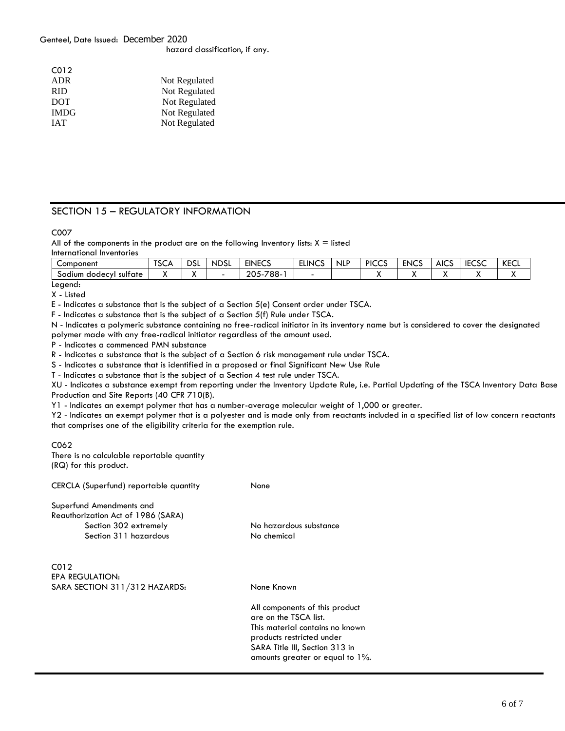#### Genteel, Date Issued: December 2020

hazard classification, if any.

| CO <sub>12</sub> |               |
|------------------|---------------|
| <b>ADR</b>       | Not Regulated |
| <b>RID</b>       | Not Regulated |
| <b>DOT</b>       | Not Regulated |
| <b>IMDG</b>      | Not Regulated |
| <b>IAT</b>       | Not Regulated |

# SECTION 15 – REGULATORY INFORMATION

C007

All of the components in the product are on the following Inventory lists:  $X =$  listed International Inventories

| Component                           | $-0$<br>ו⊃כו | <b>DSL</b> | <b>NDSL</b> | <b>EINECS</b>                         | <b>ELINCS</b> | <b>NLP</b> | <b>PICCS</b><br>ט גע | <b>ENCS</b> | <b>AICS</b> | <b>IECSC</b> | KECL |
|-------------------------------------|--------------|------------|-------------|---------------------------------------|---------------|------------|----------------------|-------------|-------------|--------------|------|
| dodecyl<br>sultate<br><b>Sodium</b> |              | . .        |             | 788-.<br>205<br>$\rightarrow$<br>-د∪∡ | -             |            |                      |             |             |              |      |
|                                     |              |            |             |                                       |               |            |                      |             |             |              |      |

Legend:

X - Listed

E - Indicates a substance that is the subject of a Section 5(e) Consent order under TSCA.

F - Indicates a substance that is the subject of a Section 5(f) Rule under TSCA.

N - Indicates a polymeric substance containing no free-radical initiator in its inventory name but is considered to cover the designated polymer made with any free-radical initiator regardless of the amount used.

P - Indicates a commenced PMN substance

R - Indicates a substance that is the subject of a Section 6 risk management rule under TSCA.

S - Indicates a substance that is identified in a proposed or final Significant New Use Rule

T - Indicates a substance that is the subject of a Section 4 test rule under TSCA.

XU - Indicates a substance exempt from reporting under the Inventory Update Rule, i.e. Partial Updating of the TSCA Inventory Data Base Production and Site Reports (40 CFR 710(B).

Y1 - Indicates an exempt polymer that has a number-average molecular weight of 1,000 or greater.

Y2 - Indicates an exempt polymer that is a polyester and is made only from reactants included in a specified list of low concern reactants that comprises one of the eligibility criteria for the exemption rule.

C062 There is no calculable reportable quantity (RQ) for this product.

CERCLA (Superfund) reportable quantity None

Superfund Amendments and Reauthorization Act of 1986 (SARA) Section 302 extremely No hazardous substance Section 311 hazardous No chemical

 $C<sub>012</sub>$ EPA REGULATION: SARA SECTION 311/312 HAZARDS: None Known

All components of this product are on the TSCA list. This material contains no known products restricted under SARA Title III, Section 313 in amounts greater or equal to 1%.